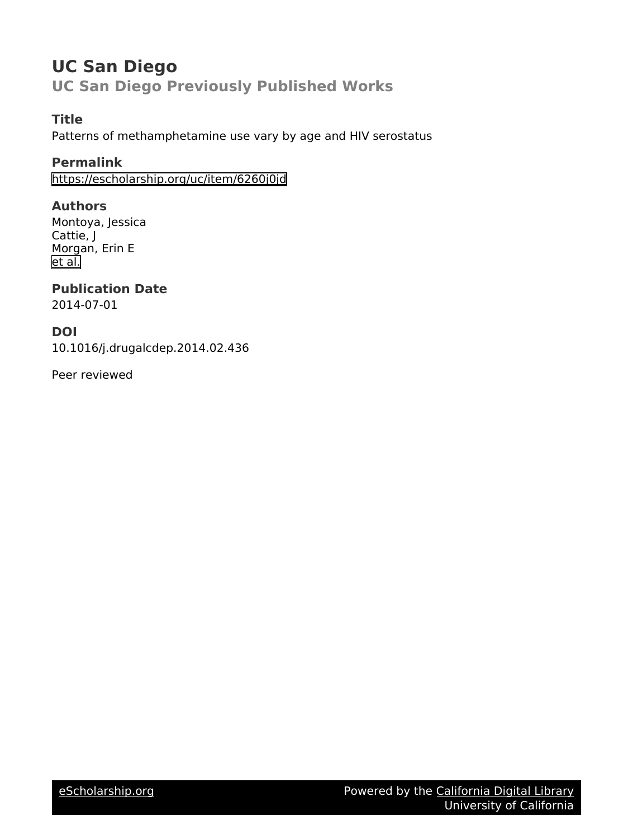## **UC San Diego**

**UC San Diego Previously Published Works**

### **Title**

Patterns of methamphetamine use vary by age and HIV serostatus

### **Permalink**

<https://escholarship.org/uc/item/6260j0jd>

### **Authors**

Montoya, Jessica Cattie, J Morgan, Erin E [et al.](https://escholarship.org/uc/item/6260j0jd#author)

# **Publication Date**

2014-07-01

### **DOI**

10.1016/j.drugalcdep.2014.02.436

Peer reviewed